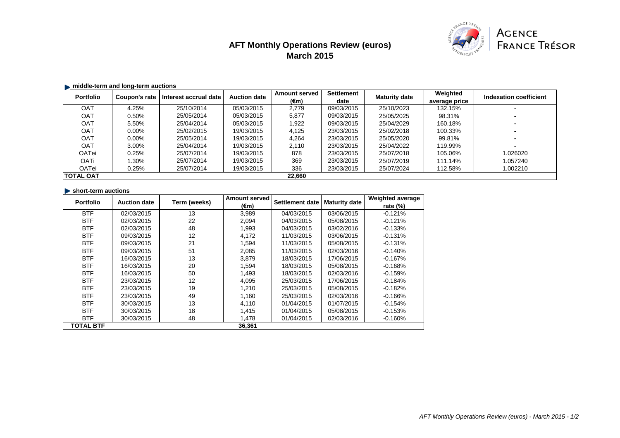# **AFT Monthly Operations Review (euros) March 2015**



## **middle-term and long-term auctions**

| <b>Portfolio</b> | Coupon's rate | Interest accrual date | <b>Auction date</b> | <b>Amount served</b> | <b>Settlement</b> | <b>Maturity date</b> | Weighted      | Indexation coefficient |
|------------------|---------------|-----------------------|---------------------|----------------------|-------------------|----------------------|---------------|------------------------|
|                  |               |                       |                     | (€m)                 | date              |                      | average price |                        |
| <b>OAT</b>       | 4.25%         | 25/10/2014            | 05/03/2015          | 2,779                | 09/03/2015        | 25/10/2023           | 132.15%       |                        |
| <b>OAT</b>       | 0.50%         | 25/05/2014            | 05/03/2015          | 5,877                | 09/03/2015        | 25/05/2025           | 98.31%        |                        |
| <b>OAT</b>       | 5.50%         | 25/04/2014            | 05/03/2015          | ۔922. ا              | 09/03/2015        | 25/04/2029           | 160.18%       |                        |
| OAT              | $0.00\%$      | 25/02/2015            | 19/03/2015          | 4,125                | 23/03/2015        | 25/02/2018           | 100.33%       |                        |
| <b>OAT</b>       | $0.00\%$      | 25/05/2014            | 19/03/2015          | 4,264                | 23/03/2015        | 25/05/2020           | 99.81%        |                        |
| <b>OAT</b>       | 3.00%         | 25/04/2014            | 19/03/2015          | 2,110                | 23/03/2015        | 25/04/2022           | 119.99%       |                        |
| <b>OATei</b>     | 0.25%         | 25/07/2014            | 19/03/2015          | 878                  | 23/03/2015        | 25/07/2018           | 105.06%       | 1.026020               |
| <b>OATi</b>      | 1.30%         | 25/07/2014            | 19/03/2015          | 369                  | 23/03/2015        | 25/07/2019           | 111.14%       | 1.057240               |
| <b>OATei</b>     | 0.25%         | 25/07/2014            | 19/03/2015          | 336                  | 23/03/2015        | 25/07/2024           | 112.58%       | 1.002210               |
| <b>TOTAL OAT</b> |               |                       |                     | 22,660               |                   |                      |               |                        |

## **short-term auctions**

| <b>Portfolio</b> | <b>Auction date</b> | Term (weeks) | <b>Amount served</b> | Settlement date | <b>Maturity date</b> | <b>Weighted average</b> |
|------------------|---------------------|--------------|----------------------|-----------------|----------------------|-------------------------|
|                  |                     |              | $(\epsilon m)$       |                 |                      | rate $(\%)$             |
| <b>BTF</b>       | 02/03/2015          | 13           | 3,989                | 04/03/2015      | 03/06/2015           | $-0.121%$               |
| <b>BTF</b>       | 02/03/2015          | 22           | 2,094                | 04/03/2015      | 05/08/2015           | $-0.121%$               |
| <b>BTF</b>       | 02/03/2015          | 48           | 1,993                | 04/03/2015      | 03/02/2016           | $-0.133%$               |
| <b>BTF</b>       | 09/03/2015          | 12           | 4,172                | 11/03/2015      | 03/06/2015           | $-0.131%$               |
| <b>BTF</b>       | 09/03/2015          | 21           | 1,594                | 11/03/2015      | 05/08/2015           | $-0.131%$               |
| <b>BTF</b>       | 09/03/2015          | 51           | 2,085                | 11/03/2015      | 02/03/2016           | $-0.140%$               |
| <b>BTF</b>       | 16/03/2015          | 13           | 3,879                | 18/03/2015      | 17/06/2015           | $-0.167%$               |
| <b>BTF</b>       | 16/03/2015          | 20           | 1,594                | 18/03/2015      | 05/08/2015           | $-0.168%$               |
| <b>BTF</b>       | 16/03/2015          | 50           | 1,493                | 18/03/2015      | 02/03/2016           | $-0.159%$               |
| <b>BTF</b>       | 23/03/2015          | 12           | 4,095                | 25/03/2015      | 17/06/2015           | $-0.184%$               |
| <b>BTF</b>       | 23/03/2015          | 19           | 1,210                | 25/03/2015      | 05/08/2015           | $-0.182%$               |
| <b>BTF</b>       | 23/03/2015          | 49           | 1,160                | 25/03/2015      | 02/03/2016           | $-0.166%$               |
| <b>BTF</b>       | 30/03/2015          | 13           | 4,110                | 01/04/2015      | 01/07/2015           | $-0.154%$               |
| <b>BTF</b>       | 30/03/2015          | 18           | 1,415                | 01/04/2015      | 05/08/2015           | $-0.153%$               |
| <b>BTF</b>       | 30/03/2015          | 48           | 1,478                | 01/04/2015      | 02/03/2016           | $-0.160%$               |
| <b>TOTAL BTF</b> |                     |              | 36,361               |                 |                      |                         |